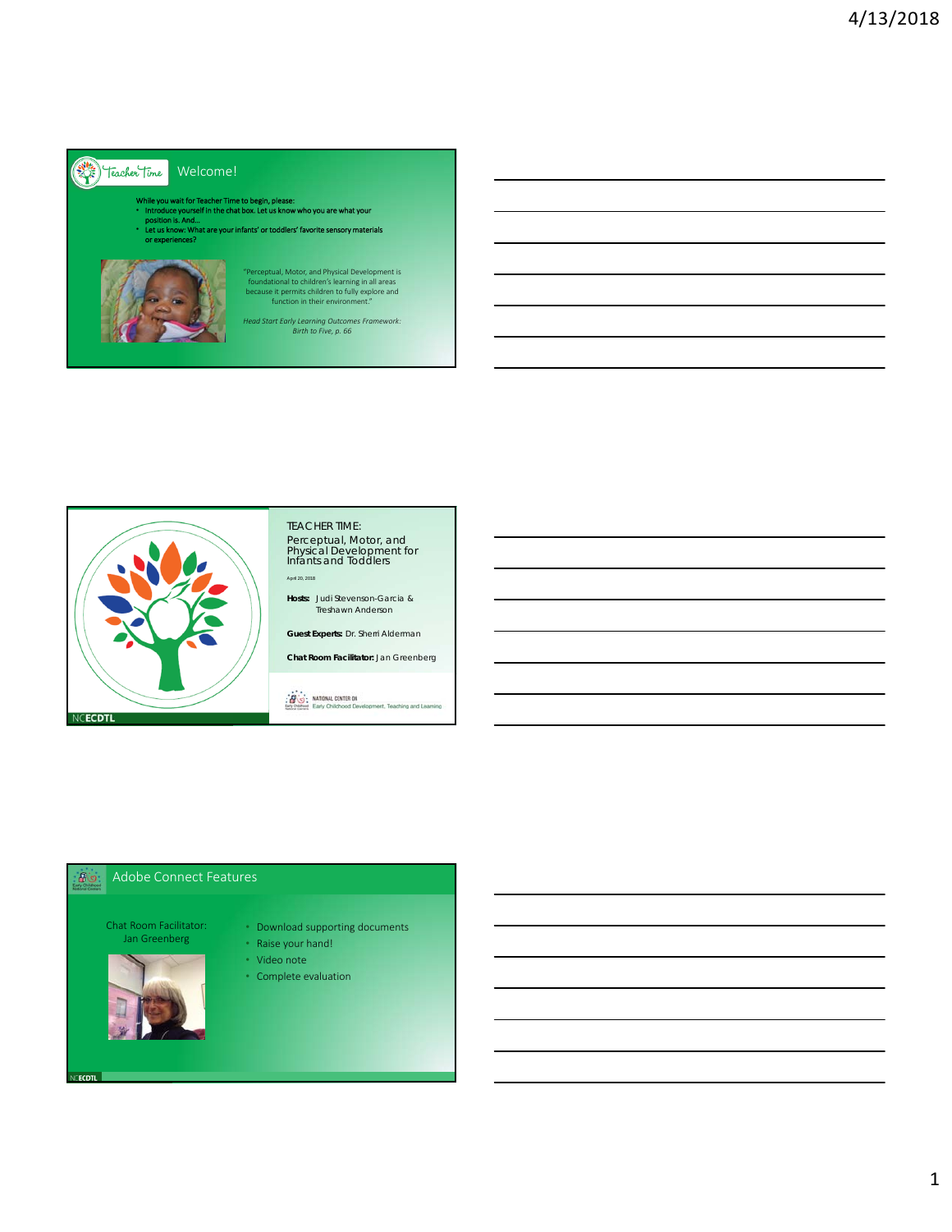

## Welcome!

While you wait for Teacher Time to begin, please: • Introduce yourself in the chat box. Let us know who you are what your

- position is. And…
- ts' or toddlers' far or experiences?



"Perceptual, Motor, and Physical Development is foundational to children's learning in all areas because it permits children to fully explore and function in their environment."

*Head Start Early Learning Outcomes Framework: Birth to Five, p. 66*



### TEACHER TIME:

Perceptual, Motor, and Physical Development for Infants and Toddlers April 20, 2018

**Hosts:** Judi Stevenson-Garcia & Treshawn Anderson

**Guest Experts:** Dr. Sherri Alderman

**Chat Room Facilitator:** Jan Greenberg

**ENG**: NATIONAL CENTER ON int. Teaching and Lea

#### Adobe Connect Features

Chat Room Facilitator: Jan Greenberg



**CECDTL** 

• Download supporting documents

• Raise your hand!

- Video note
- Complete evaluation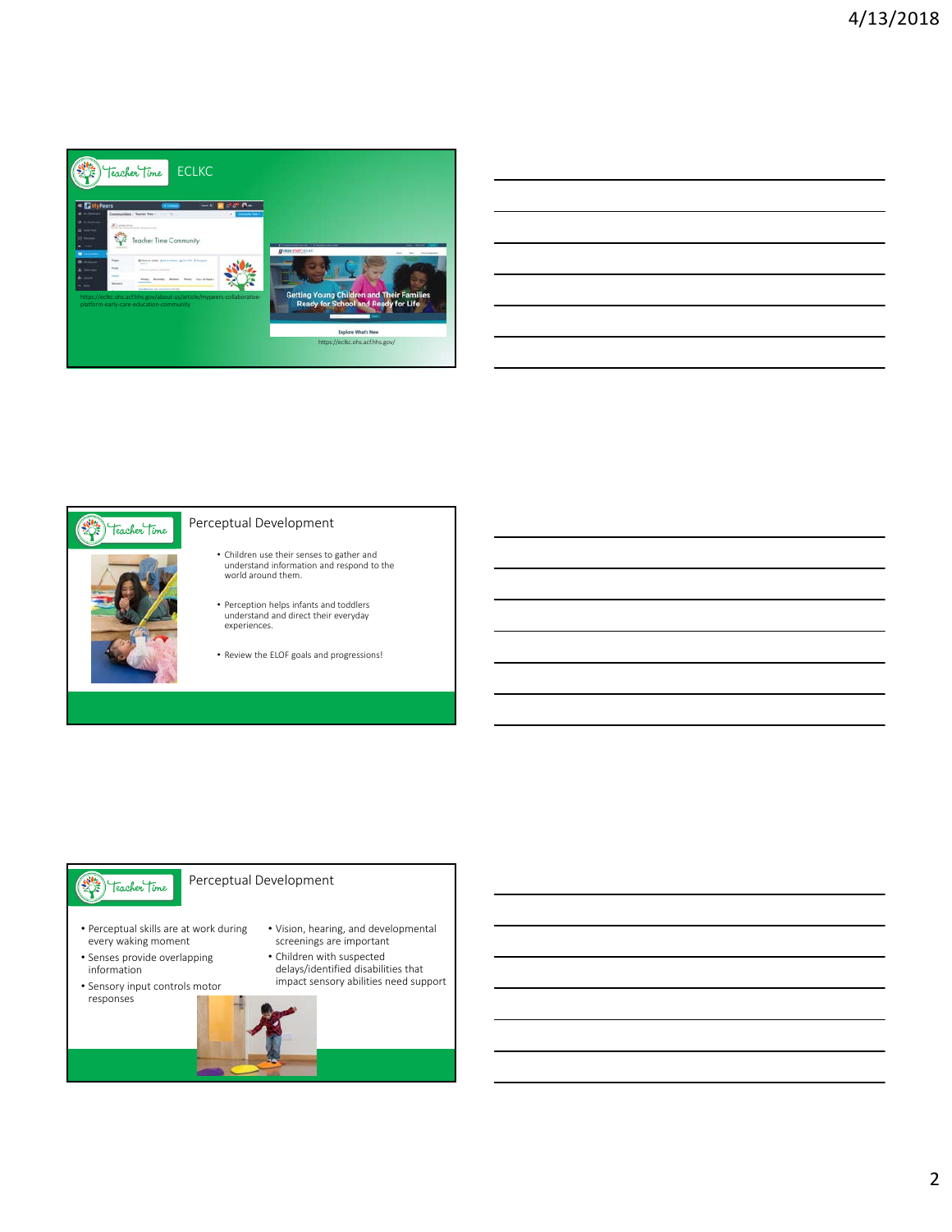



#### Perceptual Development

- Children use their senses to gather and understand information and respond to the world around them.
- Perception helps infants and toddlers understand and direct their everyday experiences.
- Review the ELOF goals and progressions!

## Teacher Time

## Perceptual Development

- Perceptual skills are at work during every waking moment
- Senses provide overlapping information
- Sensory input controls motor responses
- Vision, hearing, and developmental screenings are important
- Children with suspected delays/identified disabilities that impact sensory abilities need support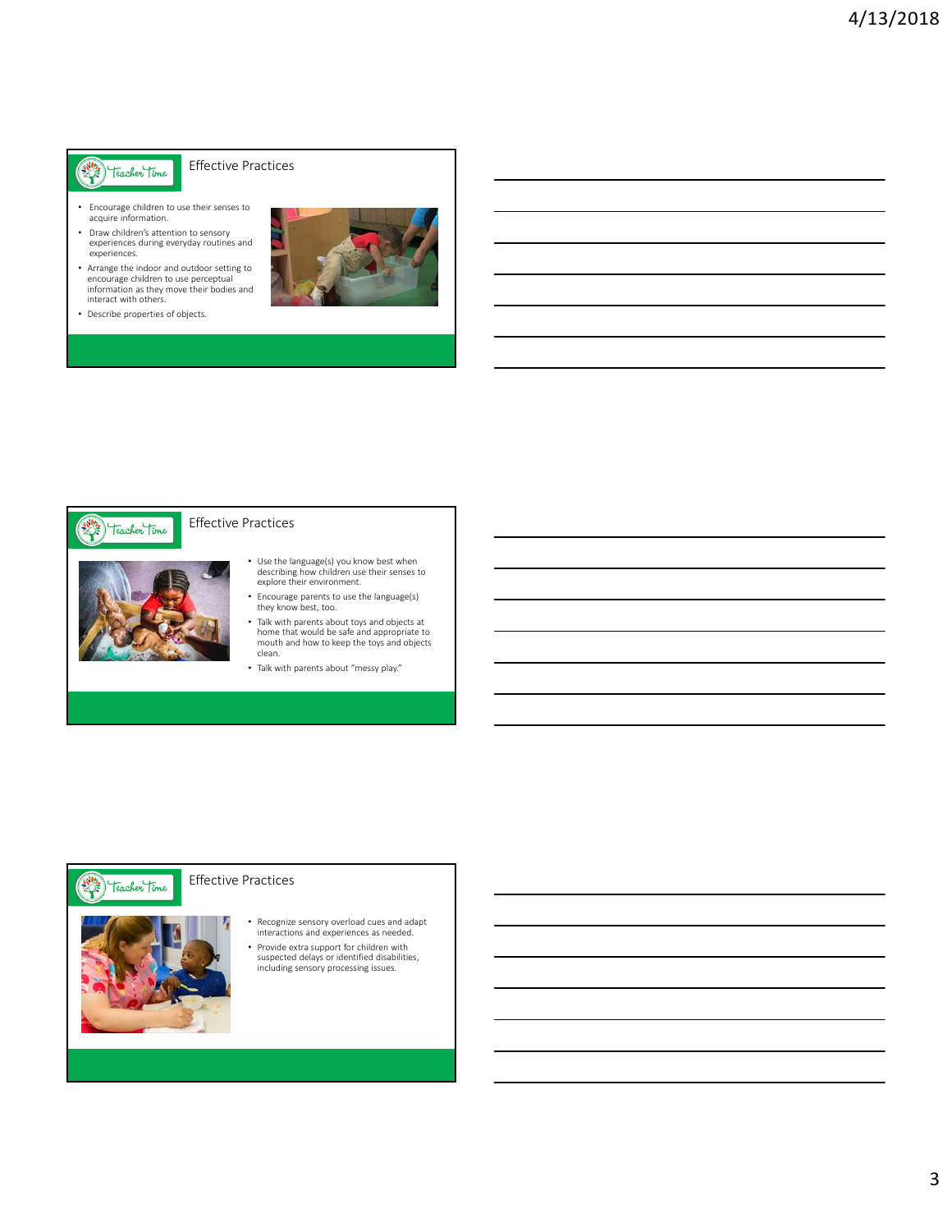# Facher Time

Effective Practices

- Encourage children to use their senses to acquire information.
- Draw children's attention to sensory experiences during everyday routines and experiences.
- Arrange the indoor and outdoor setting to encourage children to use perceptual information as they move their bodies and interact with others.
- Describe properties of objects.





### Effective Practices

- Use the language(s) you know best when describing how children use their senses to explore their environment.
- Encourage parents to use the language(s) they know best, too.
- Talk with parents about toys and objects at home that would be safe and appropriate to mouth and how to keep the toys and objects clean.
- Talk with parents about "messy play."

#### Effective Practices **Cacher Time**



• Recognize sensory overload cues and adapt interactions and experiences as needed.

• Provide extra support for children with suspected delays or identified disabilities, including sensory processing issues.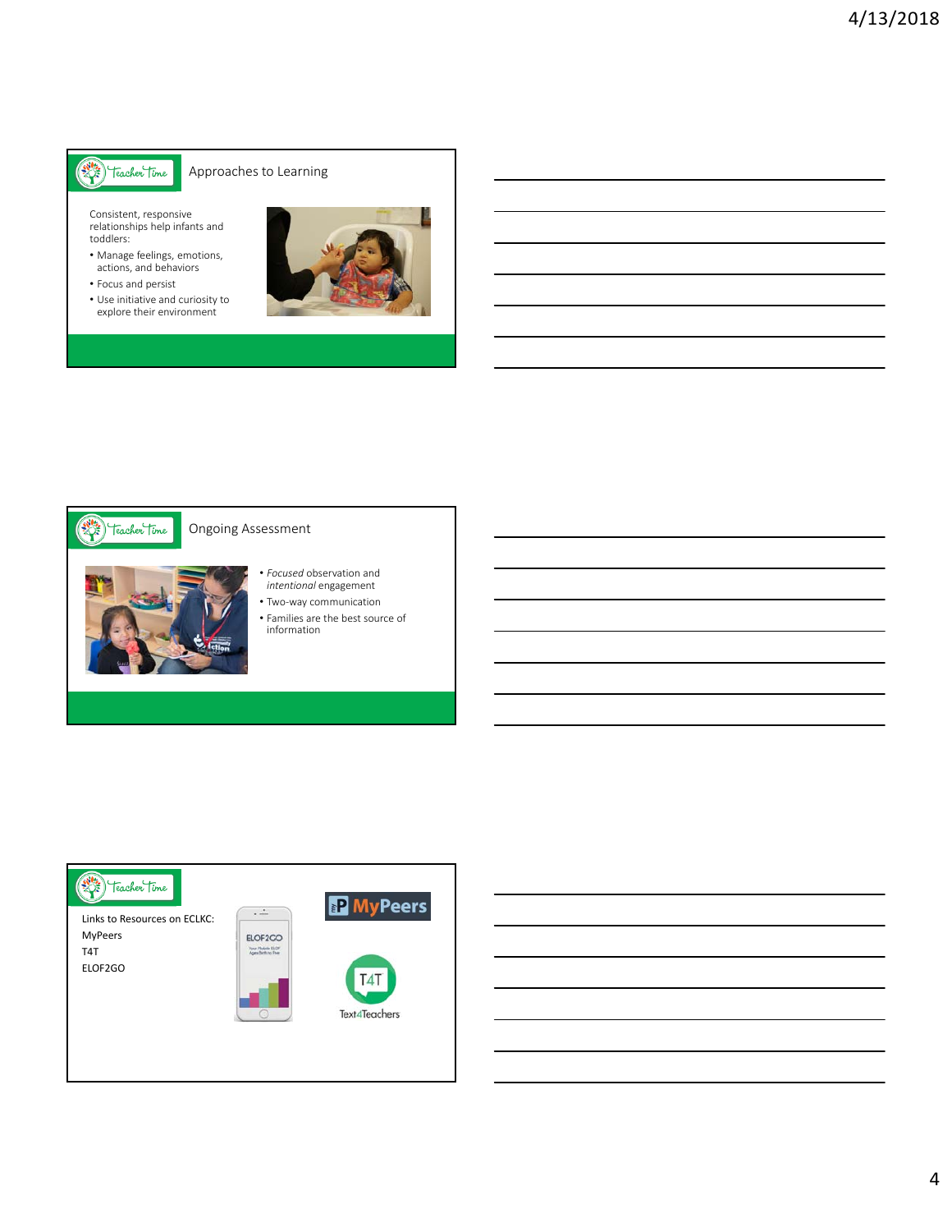# Filte Teacher Time

### Approaches to Learning

Consistent, responsive relationships help infants and toddlers:

- Manage feelings, emotions, actions, and behaviors
- Focus and persist
- Use initiative and curiosity to explore their environment





### Ongoing Assessment

- 
- *Focused* observation and *intentional* engagement
- Two‐way communication
- Families are the best source of information